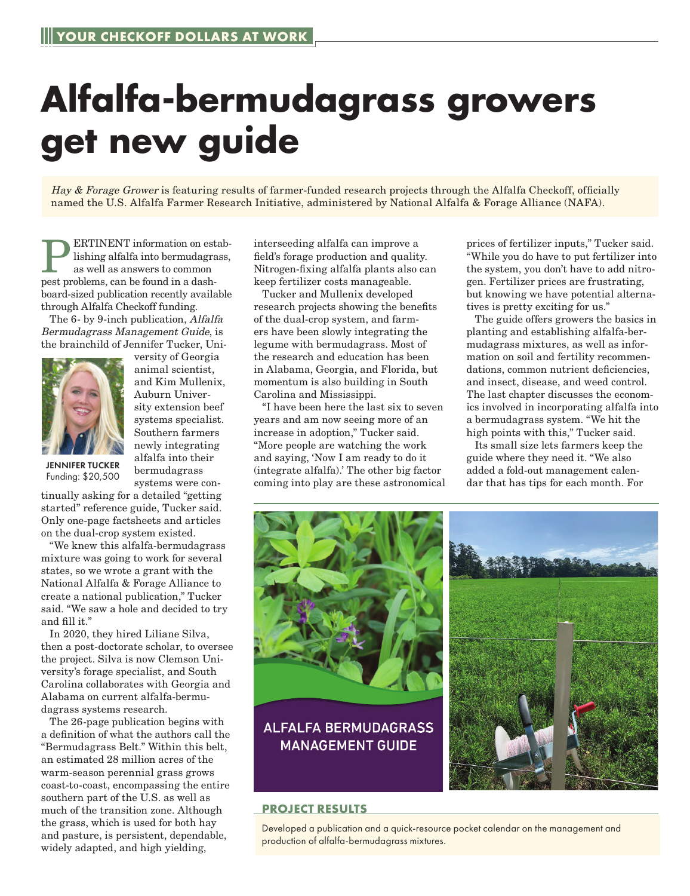## **Alfalfa-bermudagrass growers get new guide**

Hay & Forage Grower is featuring results of farmer-funded research projects through the Alfalfa Checkoff, officially named the U.S. Alfalfa Farmer Research Initiative, administered by National Alfalfa & Forage Alliance (NAFA).

ERTINENT information on establishing alfalfa into bermudagrass, as well as answers to common pest problems, can be found in a dashboard-sized publication recently available through Alfalfa Checkoff funding.

The 6- by 9-inch publication, Alfalfa Bermudagrass Management Guide, is the brainchild of Jennifer Tucker, Uni-



versity of Georgia animal scientist, and Kim Mullenix, Auburn University extension beef systems specialist. Southern farmers newly integrating alfalfa into their bermudagrass systems were con-

JENNIFER TUCKER Funding: \$20,500

tinually asking for a detailed "getting started" reference guide, Tucker said. Only one-page factsheets and articles on the dual-crop system existed.

"We knew this alfalfa-bermudagrass mixture was going to work for several states, so we wrote a grant with the National Alfalfa & Forage Alliance to create a national publication," Tucker said. "We saw a hole and decided to try and fill it."

In 2020, they hired Liliane Silva, then a post-doctorate scholar, to oversee the project. Silva is now Clemson University's forage specialist, and South Carolina collaborates with Georgia and Alabama on current alfalfa-bermudagrass systems research.

The 26-page publication begins with a definition of what the authors call the "Bermudagrass Belt." Within this belt, an estimated 28 million acres of the warm-season perennial grass grows coast-to-coast, encompassing the entire southern part of the U.S. as well as much of the transition zone. Although the grass, which is used for both hay and pasture, is persistent, dependable, widely adapted, and high yielding,

interseeding alfalfa can improve a field's forage production and quality. Nitrogen-fixing alfalfa plants also can keep fertilizer costs manageable.

Tucker and Mullenix developed research projects showing the benefits of the dual-crop system, and farmers have been slowly integrating the legume with bermudagrass. Most of the research and education has been in Alabama, Georgia, and Florida, but momentum is also building in South Carolina and Mississippi.

"I have been here the last six to seven years and am now seeing more of an increase in adoption," Tucker said. "More people are watching the work and saying, 'Now I am ready to do it (integrate alfalfa).' The other big factor coming into play are these astronomical prices of fertilizer inputs," Tucker said. "While you do have to put fertilizer into the system, you don't have to add nitrogen. Fertilizer prices are frustrating, but knowing we have potential alternatives is pretty exciting for us."

The guide offers growers the basics in planting and establishing alfalfa-bermudagrass mixtures, as well as information on soil and fertility recommendations, common nutrient deficiencies, and insect, disease, and weed control. The last chapter discusses the economics involved in incorporating alfalfa into a bermudagrass system. "We hit the high points with this," Tucker said.

Its small size lets farmers keep the guide where they need it. "We also added a fold-out management calendar that has tips for each month. For





## **PROJECT RESULTS**

Developed a publication and a quick-resource pocket calendar on the management and production of alfalfa-bermudagrass mixtures.